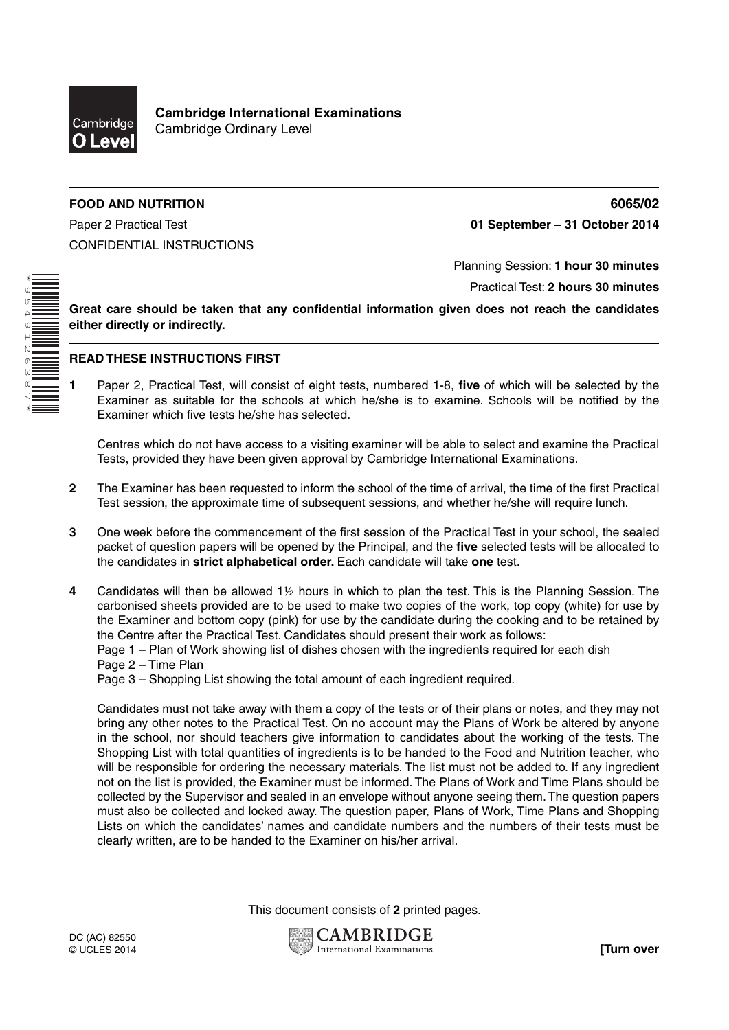

**Cambridge International Examinations** Cambridge Ordinary Level

## **FOOD AND NUTRITION 6065/02**

Paper 2 Practical Test **01 September – 31 October 2014** CONFIDENTIAL INSTRUCTIONS

Planning Session: **1 hour 30 minutes**

Practical Test: **2 hours 30 minutes**

**Great care should be taken that any confidential information given does not reach the candidates either directly or indirectly.**

## **READ THESE INSTRUCTIONS FIRST**

**1** Paper 2, Practical Test, will consist of eight tests, numbered 1-8, **five** of which will be selected by the Examiner as suitable for the schools at which he/she is to examine. Schools will be notified by the Examiner which five tests he/she has selected.

Centres which do not have access to a visiting examiner will be able to select and examine the Practical Tests, provided they have been given approval by Cambridge International Examinations.

- **2** The Examiner has been requested to inform the school of the time of arrival, the time of the first Practical Test session, the approximate time of subsequent sessions, and whether he/she will require lunch.
- **3** One week before the commencement of the first session of the Practical Test in your school, the sealed packet of question papers will be opened by the Principal, and the **five** selected tests will be allocated to the candidates in **strict alphabetical order.** Each candidate will take **one** test.
- **4** Candidates will then be allowed 1½ hours in which to plan the test. This is the Planning Session. The carbonised sheets provided are to be used to make two copies of the work, top copy (white) for use by the Examiner and bottom copy (pink) for use by the candidate during the cooking and to be retained by the Centre after the Practical Test. Candidates should present their work as follows:

Page 1 – Plan of Work showing list of dishes chosen with the ingredients required for each dish

Page 2 – Time Plan

Page 3 – Shopping List showing the total amount of each ingredient required.

Candidates must not take away with them a copy of the tests or of their plans or notes, and they may not bring any other notes to the Practical Test. On no account may the Plans of Work be altered by anyone in the school, nor should teachers give information to candidates about the working of the tests. The Shopping List with total quantities of ingredients is to be handed to the Food and Nutrition teacher, who will be responsible for ordering the necessary materials. The list must not be added to. If any ingredient not on the list is provided, the Examiner must be informed. The Plans of Work and Time Plans should be collected by the Supervisor and sealed in an envelope without anyone seeing them. The question papers must also be collected and locked away. The question paper, Plans of Work, Time Plans and Shopping Lists on which the candidates' names and candidate numbers and the numbers of their tests must be clearly written, are to be handed to the Examiner on his/her arrival.

This document consists of **2** printed pages.